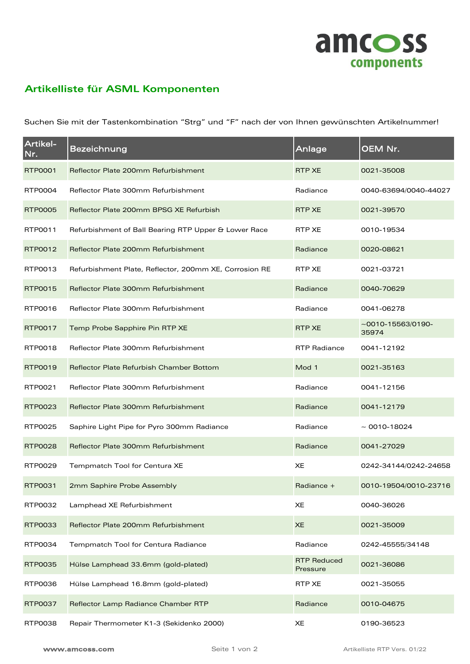

## **Artikelliste für ASML Komponenten**

Suchen Sie mit der Tastenkombination "Strg" und "F" nach der von Ihnen gewünschten Artikelnummer!

| Artikel-<br>Nr. | Bezeichnung                                            | Anlage                         | OEM Nr.                 |
|-----------------|--------------------------------------------------------|--------------------------------|-------------------------|
| RTP0001         | Reflector Plate 200mm Refurbishment                    | <b>RTP XE</b>                  | 0021-35008              |
| RTP0004         | Reflector Plate 300mm Refurbishment                    | Radiance                       | 0040-63694/0040-44027   |
| <b>RTP0005</b>  | Reflector Plate 200mm BPSG XE Refurbish                | <b>RTP XE</b>                  | 0021-39570              |
| RTP0011         | Refurbishment of Ball Bearing RTP Upper & Lower Race   | RTP XE                         | 0010-19534              |
| RTP0012         | Reflector Plate 200mm Refurbishment                    | Radiance                       | 0020-08621              |
| RTP0013         | Refurbishment Plate, Reflector, 200mm XE, Corrosion RE | RTP XE                         | 0021-03721              |
| RTP0015         | Reflector Plate 300mm Refurbishment                    | Radiance                       | 0040-70629              |
| RTP0016         | Reflector Plate 300mm Refurbishment                    | Radiance                       | 0041-06278              |
| RTP0017         | Temp Probe Sapphire Pin RTP XE                         | RTP XE                         | $~15563/0190-$<br>35974 |
| RTP0018         | Reflector Plate 300mm Refurbishment                    | <b>RTP Radiance</b>            | 0041-12192              |
| RTP0019         | <b>Reflector Plate Refurbish Chamber Bottom</b>        | Mod 1                          | 0021-35163              |
| RTP0021         | Reflector Plate 300mm Refurbishment                    | Radiance                       | 0041-12156              |
| RTP0023         | Reflector Plate 300mm Refurbishment                    | Radiance                       | 0041-12179              |
| RTP0025         | Saphire Light Pipe for Pyro 300mm Radiance             | Radiance                       | $\sim$ 0010-18024       |
| <b>RTP0028</b>  | Reflector Plate 300mm Refurbishment                    | Radiance                       | 0041-27029              |
| <b>RTP0029</b>  | Tempmatch Tool for Centura XE                          | XE                             | 0242-34144/0242-24658   |
| RTP0031         | 2mm Saphire Probe Assembly                             | Radiance +                     | 0010-19504/0010-23716   |
| RTP0032         | Lamphead XE Refurbishment                              | XE                             | 0040-36026              |
| RTP0033         | Reflector Plate 200mm Refurbishment                    | <b>XE</b>                      | 0021-35009              |
| RTP0034         | Tempmatch Tool for Centura Radiance                    | Radiance                       | 0242-45555/34148        |
| RTP0035         | Hülse Lamphead 33.6mm (gold-plated)                    | <b>RTP Reduced</b><br>Pressure | 0021-36086              |
| RTP0036         | Hülse Lamphead 16.8mm (gold-plated)                    | <b>RTP XE</b>                  | 0021-35055              |
| RTP0037         | Reflector Lamp Radiance Chamber RTP                    | Radiance                       | 0010-04675              |
| RTP0038         | Repair Thermometer K1-3 (Sekidenko 2000)               | XE                             | 0190-36523              |